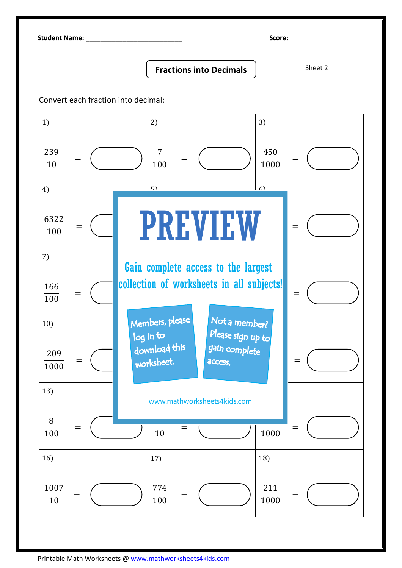Student Name: \_\_\_\_\_\_\_\_\_\_\_\_\_\_\_\_\_\_\_\_\_\_\_\_\_\_ Score:

## Fractions into Decimals | Sheet 2

Convert each fraction into decimal: